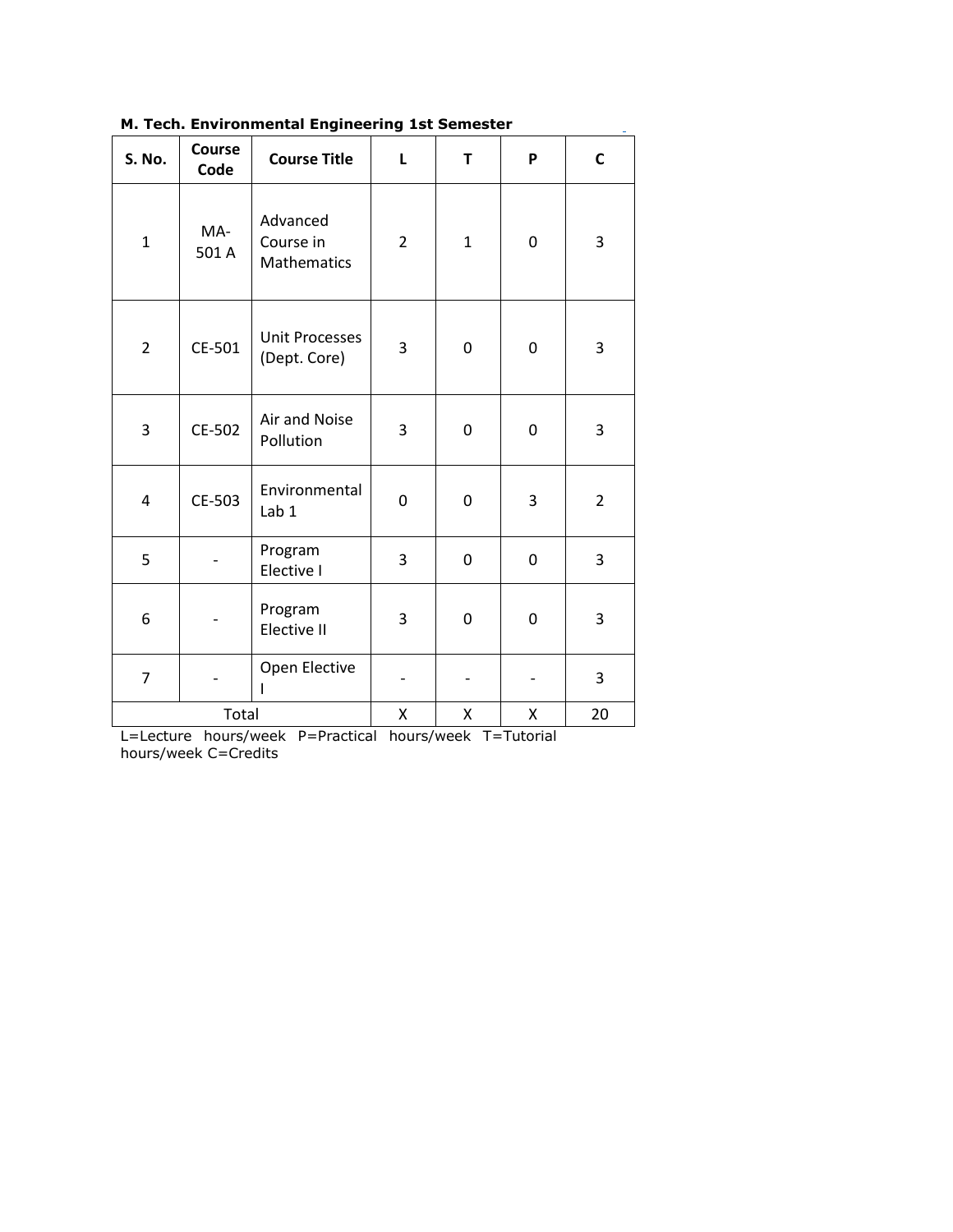| <b>S. No.</b>  | <b>Course</b><br>Code | <b>Course Title</b>                   | L              | T            | P | $\mathsf{C}$   |
|----------------|-----------------------|---------------------------------------|----------------|--------------|---|----------------|
| $\mathbf{1}$   | MA-<br>501 A          | Advanced<br>Course in<br>Mathematics  | $\overline{2}$ | $\mathbf{1}$ | 0 | 3              |
| $\overline{2}$ | CE-501                | <b>Unit Processes</b><br>(Dept. Core) | 3              | 0            | 0 | 3              |
| 3              | CE-502                | Air and Noise<br>Pollution            | 3              | 0            | 0 | 3              |
| 4              | CE-503                | Environmental<br>Lab 1                | 0              | 0            | 3 | $\overline{2}$ |
| 5              |                       | Program<br>Elective I                 | 3              | 0            | 0 | 3              |
| 6              |                       | Program<br>Elective II                | 3              | 0            | 0 | 3              |
| $\overline{7}$ |                       | Open Elective<br>L                    |                |              |   | 3              |
| Total          |                       |                                       | X              | X            | Χ | 20             |

**M. Tech. Environmental Engineering 1st Semester**

 $\sim$ 

L=Lecture hours/week P=Practical hours/week T=Tutorial hours/week C=Credits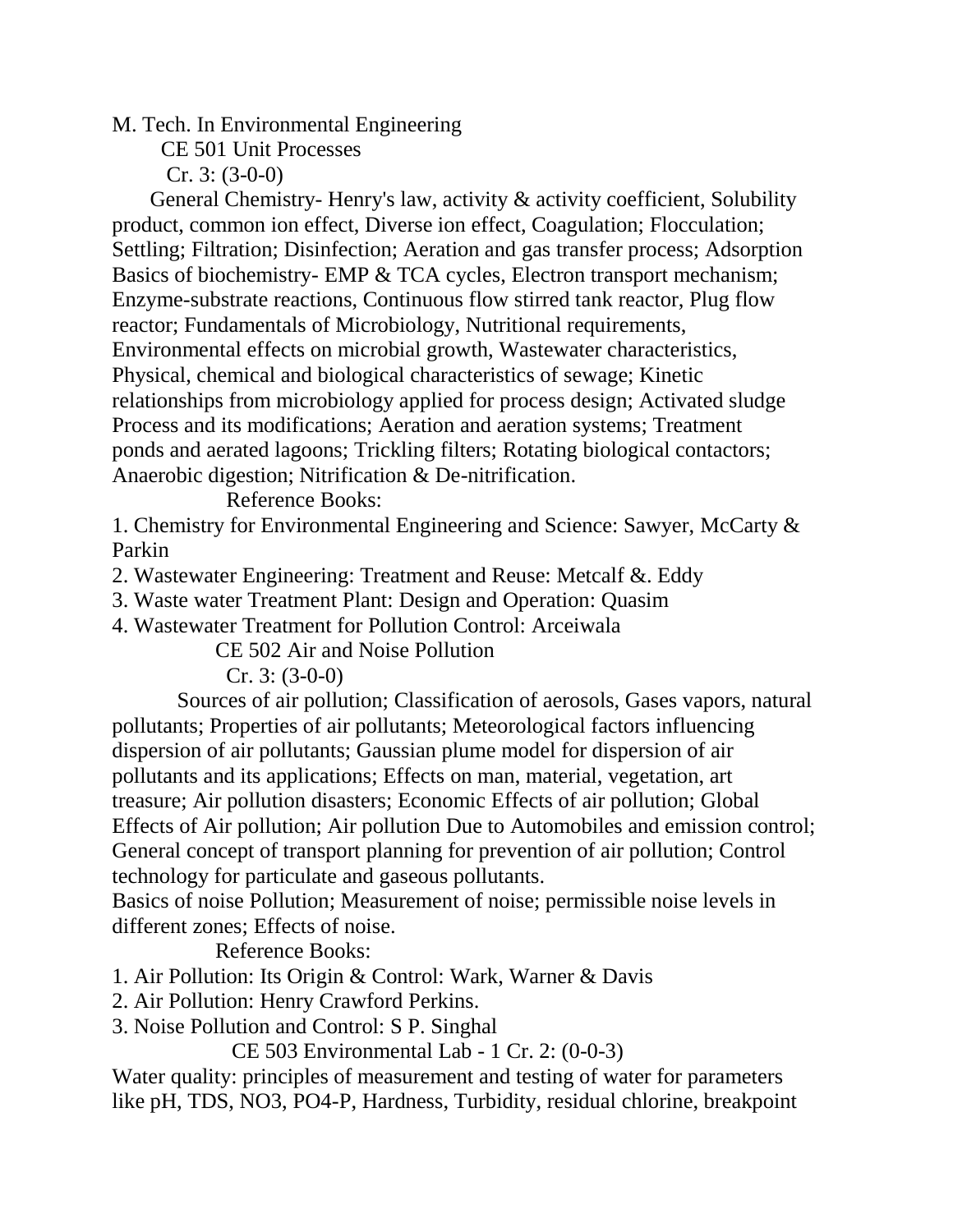M. Tech. In Environmental Engineering

CE 501 Unit Processes

 $Cr. 3: (3-0-0)$ 

 General Chemistry- Henry's law, activity & activity coefficient, Solubility product, common ion effect, Diverse ion effect, Coagulation; Flocculation; Settling; Filtration; Disinfection; Aeration and gas transfer process; Adsorption Basics of biochemistry- EMP & TCA cycles, Electron transport mechanism; Enzyme-substrate reactions, Continuous flow stirred tank reactor, Plug flow reactor; Fundamentals of Microbiology, Nutritional requirements, Environmental effects on microbial growth, Wastewater characteristics, Physical, chemical and biological characteristics of sewage; Kinetic relationships from microbiology applied for process design; Activated sludge Process and its modifications; Aeration and aeration systems; Treatment ponds and aerated lagoons; Trickling filters; Rotating biological contactors; Anaerobic digestion; Nitrification & De-nitrification.

Reference Books:

1. Chemistry for Environmental Engineering and Science: Sawyer, McCarty & Parkin

2. Wastewater Engineering: Treatment and Reuse: Metcalf &. Eddy

3. Waste water Treatment Plant: Design and Operation: Quasim

4. Wastewater Treatment for Pollution Control: Arceiwala

CE 502 Air and Noise Pollution

 $Cr. 3: (3-0-0)$ 

 Sources of air pollution; Classification of aerosols, Gases vapors, natural pollutants; Properties of air pollutants; Meteorological factors influencing dispersion of air pollutants; Gaussian plume model for dispersion of air pollutants and its applications; Effects on man, material, vegetation, art treasure; Air pollution disasters; Economic Effects of air pollution; Global Effects of Air pollution; Air pollution Due to Automobiles and emission control; General concept of transport planning for prevention of air pollution; Control technology for particulate and gaseous pollutants.

Basics of noise Pollution; Measurement of noise; permissible noise levels in different zones; Effects of noise.

Reference Books:

1. Air Pollution: Its Origin & Control: Wark, Warner & Davis

2. Air Pollution: Henry Crawford Perkins.

3. Noise Pollution and Control: S P. Singhal

CE 503 Environmental Lab - 1 Cr. 2: (0-0-3)

Water quality: principles of measurement and testing of water for parameters like pH, TDS, NO3, PO4-P, Hardness, Turbidity, residual chlorine, breakpoint